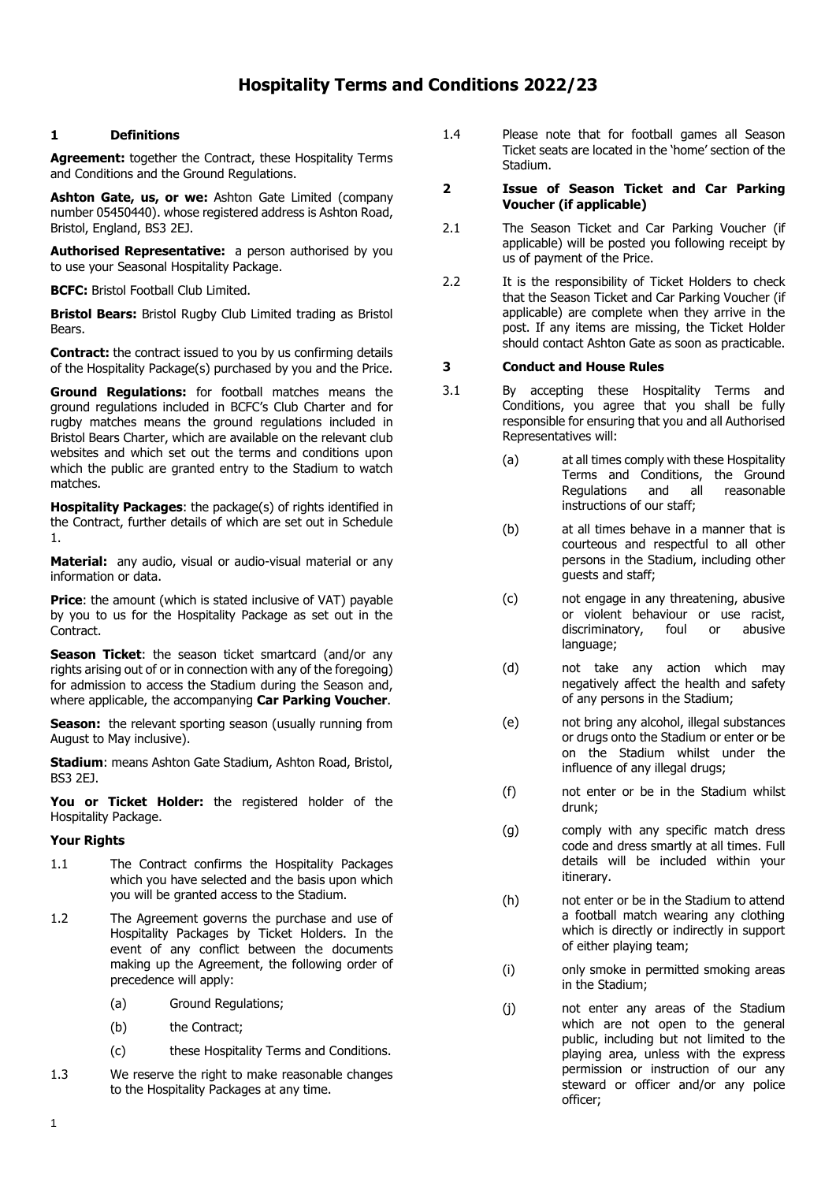# **1 Definitions**

**Agreement:** together the Contract, these Hospitality Terms and Conditions and the Ground Regulations.

**Ashton Gate, us, or we:** Ashton Gate Limited (company number 05450440). whose registered address is Ashton Road, Bristol, England, BS3 2EJ.

**Authorised Representative:** a person authorised by you to use your Seasonal Hospitality Package.

**BCFC:** Bristol Football Club Limited.

**Bristol Bears:** Bristol Rugby Club Limited trading as Bristol Bears.

**Contract:** the contract issued to you by us confirming details of the Hospitality Package(s) purchased by you and the Price.

**Ground Regulations:** for football matches means the ground regulations included in BCFC's Club Charter and for rugby matches means the ground regulations included in Bristol Bears Charter, which are available on the relevant club websites and which set out the terms and conditions upon which the public are granted entry to the Stadium to watch matches.

**Hospitality Packages**: the package(s) of rights identified in the Contract, further details of which are set out in Schedule 1.

**Material:** any audio, visual or audio-visual material or any information or data.

**Price:** the amount (which is stated inclusive of VAT) payable by you to us for the Hospitality Package as set out in the Contract.

**Season Ticket:** the season ticket smartcard (and/or any rights arising out of or in connection with any of the foregoing) for admission to access the Stadium during the Season and, where applicable, the accompanying **Car Parking Voucher**.

**Season:** the relevant sporting season (usually running from August to May inclusive).

**Stadium**: means Ashton Gate Stadium, Ashton Road, Bristol, BS3 2EJ.

**You or Ticket Holder:** the registered holder of the Hospitality Package.

# **Your Rights**

- 1.1 The Contract confirms the Hospitality Packages which you have selected and the basis upon which you will be granted access to the Stadium.
- 1.2 The Agreement governs the purchase and use of Hospitality Packages by Ticket Holders. In the event of any conflict between the documents making up the Agreement, the following order of precedence will apply:
	- (a) Ground Regulations;
	- (b) the Contract;
	- (c) these Hospitality Terms and Conditions.
- 1.3 We reserve the right to make reasonable changes to the Hospitality Packages at any time.

1.4 Please note that for football games all Season Ticket seats are located in the 'home' section of the Stadium.

# **2 Issue of Season Ticket and Car Parking Voucher (if applicable)**

- 2.1 The Season Ticket and Car Parking Voucher (if applicable) will be posted you following receipt by us of payment of the Price.
- 2.2 It is the responsibility of Ticket Holders to check that the Season Ticket and Car Parking Voucher (if applicable) are complete when they arrive in the post. If any items are missing, the Ticket Holder should contact Ashton Gate as soon as practicable.

# **3 Conduct and House Rules**

- 3.1 By accepting these Hospitality Terms and Conditions, you agree that you shall be fully responsible for ensuring that you and all Authorised Representatives will:
	- (a) at all times comply with these Hospitality Terms and Conditions, the Ground<br>Regulations and all reasonable Regulations instructions of our staff;
	- (b) at all times behave in a manner that is courteous and respectful to all other persons in the Stadium, including other guests and staff;
	- (c) not engage in any threatening, abusive or violent behaviour or use racist, discriminatory, foul or abusive language;
	- (d) not take any action which may negatively affect the health and safety of any persons in the Stadium;
	- (e) not bring any alcohol, illegal substances or drugs onto the Stadium or enter or be on the Stadium whilst under the influence of any illegal drugs;
	- (f) not enter or be in the Stadium whilst drunk;
	- (g) comply with any specific match dress code and dress smartly at all times. Full details will be included within your itinerary.
	- (h) not enter or be in the Stadium to attend a football match wearing any clothing which is directly or indirectly in support of either playing team;
	- (i) only smoke in permitted smoking areas in the Stadium;
	- (j) not enter any areas of the Stadium which are not open to the general public, including but not limited to the playing area, unless with the express permission or instruction of our any steward or officer and/or any police officer;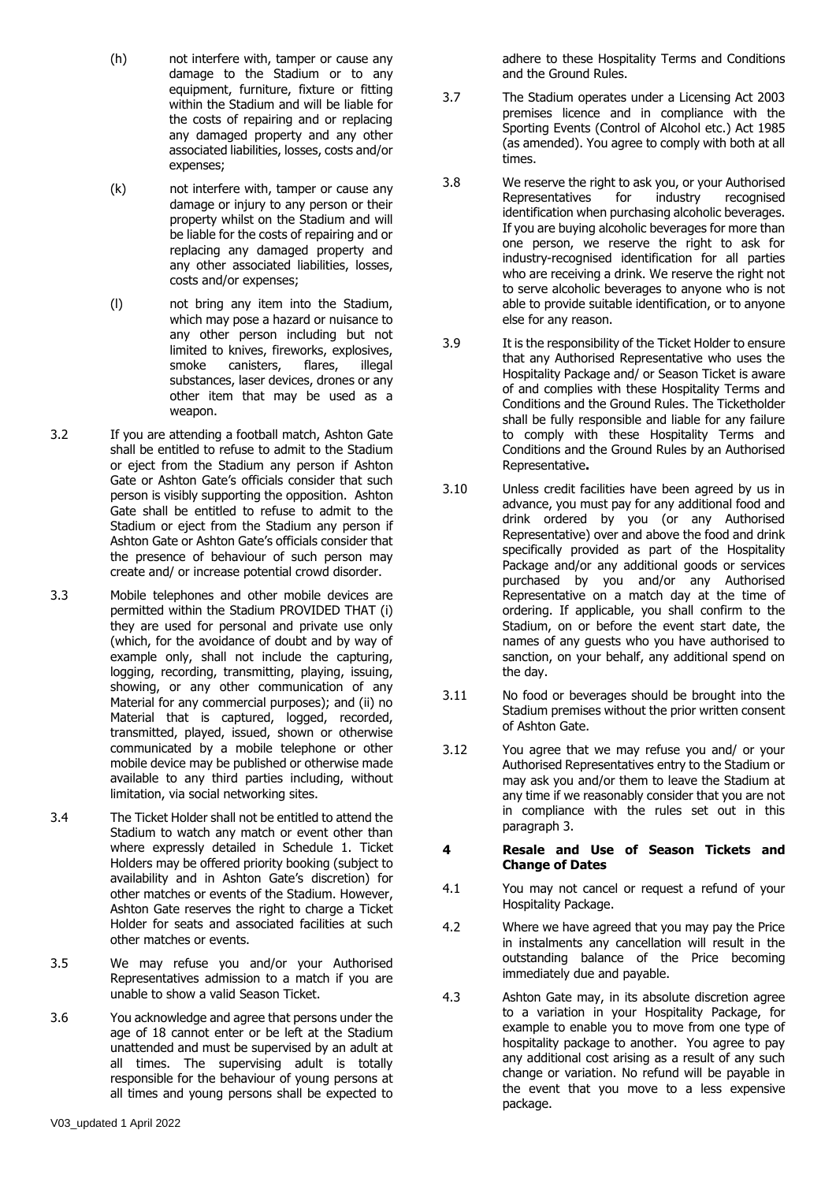- (h) not interfere with, tamper or cause any damage to the Stadium or to any equipment, furniture, fixture or fitting within the Stadium and will be liable for the costs of repairing and or replacing any damaged property and any other associated liabilities, losses, costs and/or expenses;
- (k) not interfere with, tamper or cause any damage or injury to any person or their property whilst on the Stadium and will be liable for the costs of repairing and or replacing any damaged property and any other associated liabilities, losses, costs and/or expenses;
- (l) not bring any item into the Stadium, which may pose a hazard or nuisance to any other person including but not limited to knives, fireworks, explosives, smoke canisters, flares, illegal substances, laser devices, drones or any other item that may be used as a weapon.
- 3.2 If you are attending a football match, Ashton Gate shall be entitled to refuse to admit to the Stadium or eject from the Stadium any person if Ashton Gate or Ashton Gate's officials consider that such person is visibly supporting the opposition. Ashton Gate shall be entitled to refuse to admit to the Stadium or eject from the Stadium any person if Ashton Gate or Ashton Gate's officials consider that the presence of behaviour of such person may create and/ or increase potential crowd disorder.
- <span id="page-1-0"></span>3.3 Mobile telephones and other mobile devices are permitted within the Stadium PROVIDED THAT (i) they are used for personal and private use only (which, for the avoidance of doubt and by way of example only, shall not include the capturing, logging, recording, transmitting, playing, issuing, showing, or any other communication of any Material for any commercial purposes); and (ii) no Material that is captured, logged, recorded, transmitted, played, issued, shown or otherwise communicated by a mobile telephone or other mobile device may be published or otherwise made available to any third parties including, without limitation, via social networking sites.
- 3.4 The Ticket Holder shall not be entitled to attend the Stadium to watch any match or event other than where expressly detailed in Schedule 1. Ticket Holders may be offered priority booking (subject to availability and in Ashton Gate's discretion) for other matches or events of the Stadium. However, Ashton Gate reserves the right to charge a Ticket Holder for seats and associated facilities at such other matches or events.
- 3.5 We may refuse you and/or your Authorised Representatives admission to a match if you are unable to show a valid Season Ticket.
- 3.6 You acknowledge and agree that persons under the age of 18 cannot enter or be left at the Stadium unattended and must be supervised by an adult at all times. The supervising adult is totally responsible for the behaviour of young persons at all times and young persons shall be expected to

adhere to these Hospitality Terms and Conditions and the Ground Rules.

- 3.7 The Stadium operates under a Licensing Act 2003 premises licence and in compliance with the Sporting Events (Control of Alcohol etc.) Act 1985 (as amended). You agree to comply with both at all times.
- 3.8 We reserve the right to ask you, or your Authorised Representatives for industry recognised identification when purchasing alcoholic beverages. If you are buying alcoholic beverages for more than one person, we reserve the right to ask for industry-recognised identification for all parties who are receiving a drink. We reserve the right not to serve alcoholic beverages to anyone who is not able to provide suitable identification, or to anyone else for any reason.
- 3.9 It is the responsibility of the Ticket Holder to ensure that any Authorised Representative who uses the Hospitality Package and/ or Season Ticket is aware of and complies with these Hospitality Terms and Conditions and the Ground Rules. The Ticketholder shall be fully responsible and liable for any failure to comply with these Hospitality Terms and Conditions and the Ground Rules by an Authorised Representative**.**
- 3.10 Unless credit facilities have been agreed by us in advance, you must pay for any additional food and drink ordered by you (or any Authorised Representative) over and above the food and drink specifically provided as part of the Hospitality Package and/or any additional goods or services purchased by you and/or any Authorised Representative on a match day at the time of ordering. If applicable, you shall confirm to the Stadium, on or before the event start date, the names of any guests who you have authorised to sanction, on your behalf, any additional spend on the day.
- 3.11 No food or beverages should be brought into the Stadium premises without the prior written consent of Ashton Gate.
- 3.12 You agree that we may refuse you and/ or your Authorised Representatives entry to the Stadium or may ask you and/or them to leave the Stadium at any time if we reasonably consider that you are not in compliance with the rules set out in this paragraph 3.

# **4 Resale and Use of Season Tickets and Change of Dates**

- 4.1 You may not cancel or request a refund of your Hospitality Package.
- 4.2 Where we have agreed that you may pay the Price in instalments any cancellation will result in the outstanding balance of the Price becoming immediately due and payable.
- 4.3 Ashton Gate may, in its absolute discretion agree to a variation in your Hospitality Package, for example to enable you to move from one type of hospitality package to another. You agree to pay any additional cost arising as a result of any such change or variation. No refund will be payable in the event that you move to a less expensive package.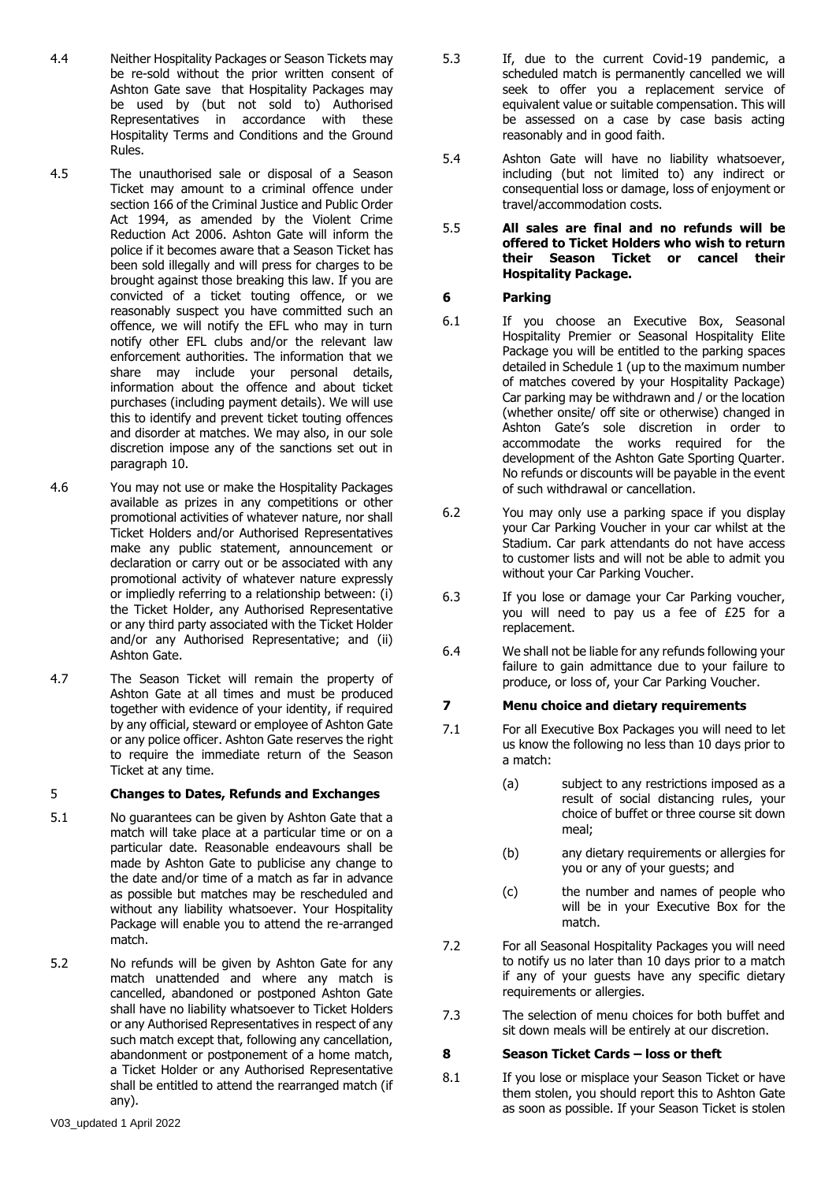- 4.4 Neither Hospitality Packages or Season Tickets may be re-sold without the prior written consent of Ashton Gate save that Hospitality Packages may be used by (but not sold to) Authorised Representatives in accordance with these Hospitality Terms and Conditions and the Ground Rules.
- 4.5 The unauthorised sale or disposal of a Season Ticket may amount to a criminal offence under section 166 of the Criminal Justice and Public Order Act 1994, as amended by the Violent Crime Reduction Act 2006. Ashton Gate will inform the police if it becomes aware that a Season Ticket has been sold illegally and will press for charges to be brought against those breaking this law. If you are convicted of a ticket touting offence, or we reasonably suspect you have committed such an offence, we will notify the EFL who may in turn notify other EFL clubs and/or the relevant law enforcement authorities. The information that we share may include your personal details, information about the offence and about ticket purchases (including payment details). We will use this to identify and prevent ticket touting offences and disorder at matches. We may also, in our sole discretion impose any of the sanctions set out in paragraph 10.
- 4.6 You may not use or make the Hospitality Packages available as prizes in any competitions or other promotional activities of whatever nature, nor shall Ticket Holders and/or Authorised Representatives make any public statement, announcement or declaration or carry out or be associated with any promotional activity of whatever nature expressly or impliedly referring to a relationship between: (i) the Ticket Holder, any Authorised Representative or any third party associated with the Ticket Holder and/or any Authorised Representative; and (ii) Ashton Gate.
- 4.7 The Season Ticket will remain the property of Ashton Gate at all times and must be produced together with evidence of your identity, if required by any official, steward or employee of Ashton Gate or any police officer. Ashton Gate reserves the right to require the immediate return of the Season Ticket at any time.

# 5 **Changes to Dates, Refunds and Exchanges**

- 5.1 No guarantees can be given by Ashton Gate that a match will take place at a particular time or on a particular date. Reasonable endeavours shall be made by Ashton Gate to publicise any change to the date and/or time of a match as far in advance as possible but matches may be rescheduled and without any liability whatsoever. Your Hospitality Package will enable you to attend the re-arranged match.
- 5.2 No refunds will be given by Ashton Gate for any match unattended and where any match is cancelled, abandoned or postponed Ashton Gate shall have no liability whatsoever to Ticket Holders or any Authorised Representatives in respect of any such match except that, following any cancellation, abandonment or postponement of a home match, a Ticket Holder or any Authorised Representative shall be entitled to attend the rearranged match (if any).
- 5.3 If, due to the current Covid-19 pandemic, a scheduled match is permanently cancelled we will seek to offer you a replacement service of equivalent value or suitable compensation. This will be assessed on a case by case basis acting reasonably and in good faith.
- 5.4 Ashton Gate will have no liability whatsoever, including (but not limited to) any indirect or consequential loss or damage, loss of enjoyment or travel/accommodation costs.
- 5.5 **All sales are final and no refunds will be offered to Ticket Holders who wish to return their Season Ticket or cancel their Hospitality Package.**

# **6 Parking**

- 6.1 If you choose an Executive Box, Seasonal Hospitality Premier or Seasonal Hospitality Elite Package you will be entitled to the parking spaces detailed in Schedule 1 (up to the maximum number of matches covered by your Hospitality Package) Car parking may be withdrawn and / or the location (whether onsite/ off site or otherwise) changed in Ashton Gate's sole discretion in order to accommodate the works required for the development of the Ashton Gate Sporting Quarter. No refunds or discounts will be payable in the event of such withdrawal or cancellation.
- 6.2 You may only use a parking space if you display your Car Parking Voucher in your car whilst at the Stadium. Car park attendants do not have access to customer lists and will not be able to admit you without your Car Parking Voucher.
- 6.3 If you lose or damage your Car Parking voucher, you will need to pay us a fee of £25 for a replacement.
- 6.4 We shall not be liable for any refunds following your failure to gain admittance due to your failure to produce, or loss of, your Car Parking Voucher.

# **7 Menu choice and dietary requirements**

- 7.1 For all Executive Box Packages you will need to let us know the following no less than 10 days prior to a match:
	- (a) subject to any restrictions imposed as a result of social distancing rules, your choice of buffet or three course sit down meal;
	- (b) any dietary requirements or allergies for you or any of your guests; and
	- (c) the number and names of people who will be in your Executive Box for the match.
- 7.2 For all Seasonal Hospitality Packages you will need to notify us no later than 10 days prior to a match if any of your guests have any specific dietary requirements or allergies.
- 7.3 The selection of menu choices for both buffet and sit down meals will be entirely at our discretion.

# **8 Season Ticket Cards – loss or theft**

8.1 If you lose or misplace your Season Ticket or have them stolen, you should report this to Ashton Gate as soon as possible. If your Season Ticket is stolen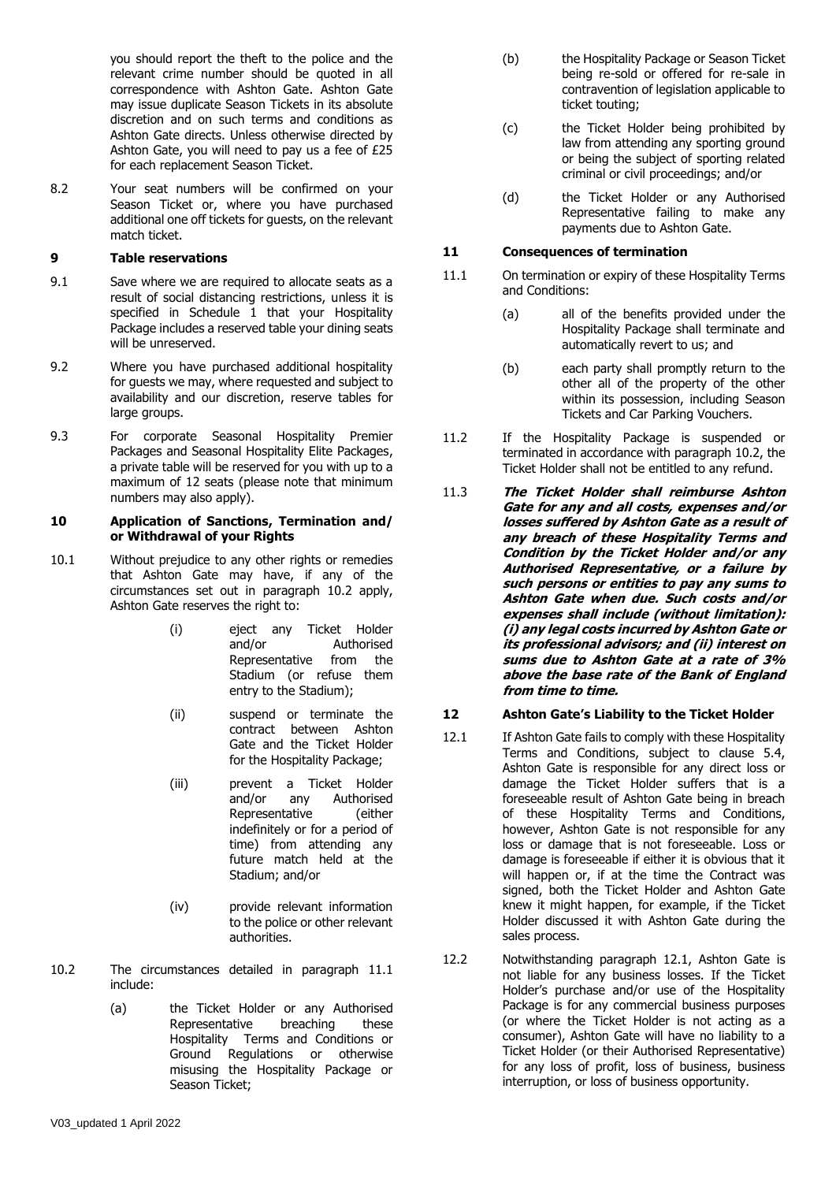you should report the theft to the police and the relevant crime number should be quoted in all correspondence with Ashton Gate. Ashton Gate may issue duplicate Season Tickets in its absolute discretion and on such terms and conditions as Ashton Gate directs. Unless otherwise directed by Ashton Gate, you will need to pay us a fee of £25 for each replacement Season Ticket.

8.2 Your seat numbers will be confirmed on your Season Ticket or, where you have purchased additional one off tickets for guests, on the relevant match ticket.

#### **9 Table reservations**

- 9.1 Save where we are required to allocate seats as a result of social distancing restrictions, unless it is specified in Schedule 1 that your Hospitality Package includes a reserved table your dining seats will be unreserved.
- 9.2 Where you have purchased additional hospitality for guests we may, where requested and subject to availability and our discretion, reserve tables for large groups.
- 9.3 For corporate Seasonal Hospitality Premier Packages and Seasonal Hospitality Elite Packages, a private table will be reserved for you with up to a maximum of 12 seats (please note that minimum numbers may also apply).

#### <span id="page-3-0"></span>**10 Application of Sanctions, Termination and/ or Withdrawal of your Rights**

- 10.1 Without prejudice to any other rights or remedies that Ashton Gate may have, if any of the circumstances set out in paragraph 10.2 apply, Ashton Gate reserves the right to:
	- (i) eject any Ticket Holder and/or Authorised Representative from the Stadium (or refuse them entry to the Stadium);
	- (ii) suspend or terminate the contract between Ashton Gate and the Ticket Holder for the Hospitality Package;
	- (iii) prevent a Ticket Holder and/or any Authorised Representative (either indefinitely or for a period of time) from attending any future match held at the Stadium; and/or
	- (iv) provide relevant information to the police or other relevant authorities.
- 10.2 The circumstances detailed in paragraph 11.1 include:
	- (a) the Ticket Holder or any Authorised Representative breaching these Hospitality Terms and Conditions or Ground Regulations or otherwise misusing the Hospitality Package or Season Ticket;
- (b) the Hospitality Package or Season Ticket being re-sold or offered for re-sale in contravention of legislation applicable to ticket touting;
- (c) the Ticket Holder being prohibited by law from attending any sporting ground or being the subject of sporting related criminal or civil proceedings; and/or
- (d) the Ticket Holder or any Authorised Representative failing to make any payments due to Ashton Gate.

#### **11 Consequences of termination**

- 11.1 On termination or expiry of these Hospitality Terms and Conditions:
	- (a) all of the benefits provided under the Hospitality Package shall terminate and automatically revert to us; and
	- (b) each party shall promptly return to the other all of the property of the other within its possession, including Season Tickets and Car Parking Vouchers.
- 11.2 If the Hospitality Package is suspended or terminated in accordance with paragraph 10.2, the Ticket Holder shall not be entitled to any refund.
- 11.3 **The Ticket Holder shall reimburse Ashton Gate for any and all costs, expenses and/or losses suffered by Ashton Gate as a result of any breach of these Hospitality Terms and Condition by the Ticket Holder and/or any Authorised Representative, or a failure by such persons or entities to pay any sums to Ashton Gate when due. Such costs and/or expenses shall include (without limitation): (i) any legal costs incurred by Ashton Gate or its professional advisors; and (ii) interest on sums due to Ashton Gate at a rate of 3% above the base rate of the Bank of England from time to time.**

# **12 Ashton Gate's Liability to the Ticket Holder**

- 12.1 If Ashton Gate fails to comply with these Hospitality Terms and Conditions, subject to clause 5.4, Ashton Gate is responsible for any direct loss or damage the Ticket Holder suffers that is a foreseeable result of Ashton Gate being in breach of these Hospitality Terms and Conditions, however, Ashton Gate is not responsible for any loss or damage that is not foreseeable. Loss or damage is foreseeable if either it is obvious that it will happen or, if at the time the Contract was signed, both the Ticket Holder and Ashton Gate knew it might happen, for example, if the Ticket Holder discussed it with Ashton Gate during the sales process.
- 12.2 Notwithstanding paragraph 12.1, Ashton Gate is not liable for any business losses. If the Ticket Holder's purchase and/or use of the Hospitality Package is for any commercial business purposes (or where the Ticket Holder is not acting as a consumer), Ashton Gate will have no liability to a Ticket Holder (or their Authorised Representative) for any loss of profit, loss of business, business interruption, or loss of business opportunity.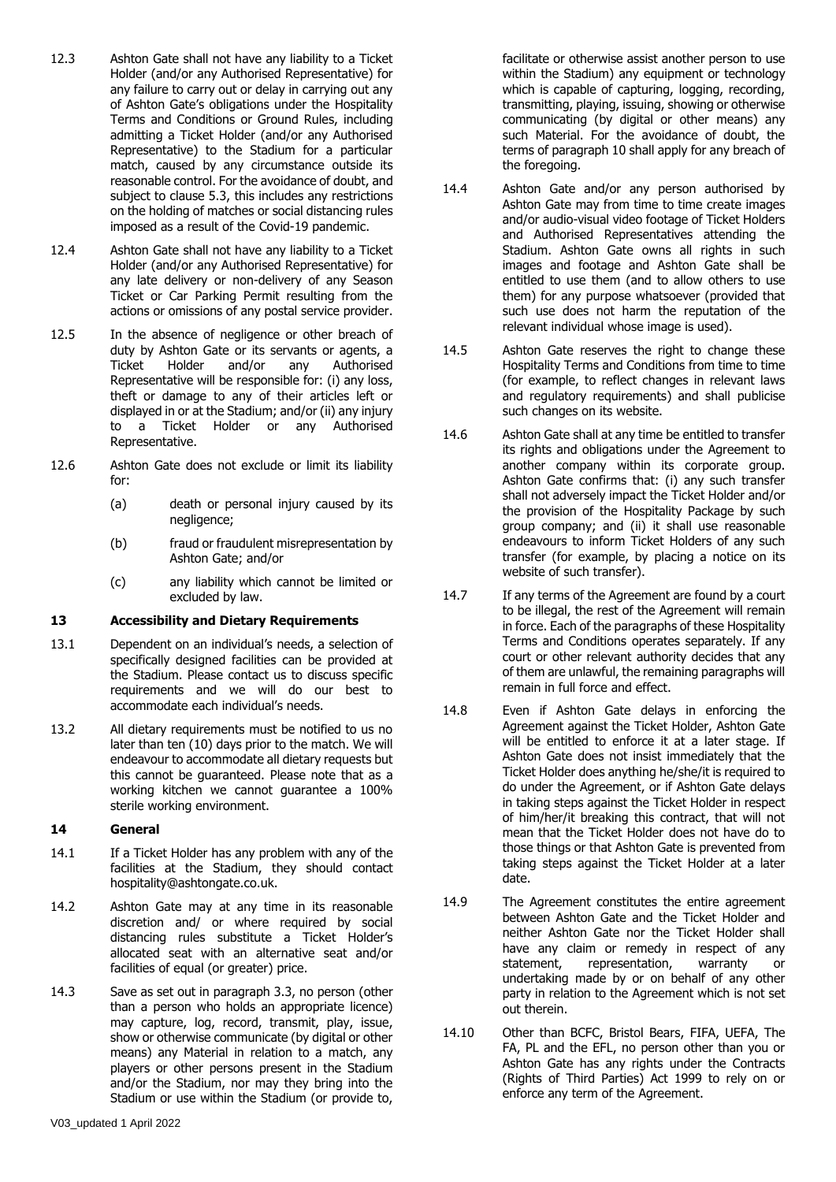- 12.3 Ashton Gate shall not have any liability to a Ticket Holder (and/or any Authorised Representative) for any failure to carry out or delay in carrying out any of Ashton Gate's obligations under the Hospitality Terms and Conditions or Ground Rules, including admitting a Ticket Holder (and/or any Authorised Representative) to the Stadium for a particular match, caused by any circumstance outside its reasonable control. For the avoidance of doubt, and subject to clause 5.3, this includes any restrictions on the holding of matches or social distancing rules imposed as a result of the Covid-19 pandemic.
- 12.4 Ashton Gate shall not have any liability to a Ticket Holder (and/or any Authorised Representative) for any late delivery or non-delivery of any Season Ticket or Car Parking Permit resulting from the actions or omissions of any postal service provider.
- 12.5 In the absence of negligence or other breach of duty by Ashton Gate or its servants or agents, a Ticket Holder and/or any Authorised Representative will be responsible for: (i) any loss, theft or damage to any of their articles left or displayed in or at the Stadium; and/or (ii) any injury to a Ticket Holder or any Authorised Representative.
- 12.6 Ashton Gate does not exclude or limit its liability for:
	- (a) death or personal injury caused by its negligence;
	- (b) fraud or fraudulent misrepresentation by Ashton Gate; and/or
	- (c) any liability which cannot be limited or excluded by law.

# **13 Accessibility and Dietary Requirements**

- 13.1 Dependent on an individual's needs, a selection of specifically designed facilities can be provided at the Stadium. Please contact us to discuss specific requirements and we will do our best to accommodate each individual's needs.
- 13.2 All dietary requirements must be notified to us no later than ten (10) days prior to the match. We will endeavour to accommodate all dietary requests but this cannot be guaranteed. Please note that as a working kitchen we cannot guarantee a 100% sterile working environment.

# **14 General**

- 14.1 If a Ticket Holder has any problem with any of the facilities at the Stadium, they should contact hospitality@ashtongate.co.uk.
- 14.2 Ashton Gate may at any time in its reasonable discretion and/ or where required by social distancing rules substitute a Ticket Holder's allocated seat with an alternative seat and/or facilities of equal (or greater) price.
- 14.3 Save as set out in paragraph [3.3,](#page-1-0) no person (other than a person who holds an appropriate licence) may capture, log, record, transmit, play, issue, show or otherwise communicate (by digital or other means) any Material in relation to a match, any players or other persons present in the Stadium and/or the Stadium, nor may they bring into the Stadium or use within the Stadium (or provide to,

facilitate or otherwise assist another person to use within the Stadium) any equipment or technology which is capable of capturing, logging, recording, transmitting, playing, issuing, showing or otherwise communicating (by digital or other means) any such Material. For the avoidance of doubt, the terms of paragraph [10](#page-3-0) shall apply for any breach of the foregoing.

- 14.4 Ashton Gate and/or any person authorised by Ashton Gate may from time to time create images and/or audio-visual video footage of Ticket Holders and Authorised Representatives attending the Stadium. Ashton Gate owns all rights in such images and footage and Ashton Gate shall be entitled to use them (and to allow others to use them) for any purpose whatsoever (provided that such use does not harm the reputation of the relevant individual whose image is used).
- 14.5 Ashton Gate reserves the right to change these Hospitality Terms and Conditions from time to time (for example, to reflect changes in relevant laws and regulatory requirements) and shall publicise such changes on its website.
- 14.6 Ashton Gate shall at any time be entitled to transfer its rights and obligations under the Agreement to another company within its corporate group. Ashton Gate confirms that: (i) any such transfer shall not adversely impact the Ticket Holder and/or the provision of the Hospitality Package by such group company; and (ii) it shall use reasonable endeavours to inform Ticket Holders of any such transfer (for example, by placing a notice on its website of such transfer).
- 14.7 If any terms of the Agreement are found by a court to be illegal, the rest of the Agreement will remain in force. Each of the paragraphs of these Hospitality Terms and Conditions operates separately. If any court or other relevant authority decides that any of them are unlawful, the remaining paragraphs will remain in full force and effect.
- 14.8 Even if Ashton Gate delays in enforcing the Agreement against the Ticket Holder, Ashton Gate will be entitled to enforce it at a later stage. If Ashton Gate does not insist immediately that the Ticket Holder does anything he/she/it is required to do under the Agreement, or if Ashton Gate delays in taking steps against the Ticket Holder in respect of him/her/it breaking this contract, that will not mean that the Ticket Holder does not have do to those things or that Ashton Gate is prevented from taking steps against the Ticket Holder at a later date.
- 14.9 The Agreement constitutes the entire agreement between Ashton Gate and the Ticket Holder and neither Ashton Gate nor the Ticket Holder shall have any claim or remedy in respect of any statement, representation, warranty or undertaking made by or on behalf of any other party in relation to the Agreement which is not set out therein.
- 14.10 Other than BCFC, Bristol Bears, FIFA, UEFA, The FA, PL and the EFL, no person other than you or Ashton Gate has any rights under the Contracts (Rights of Third Parties) Act 1999 to rely on or enforce any term of the Agreement.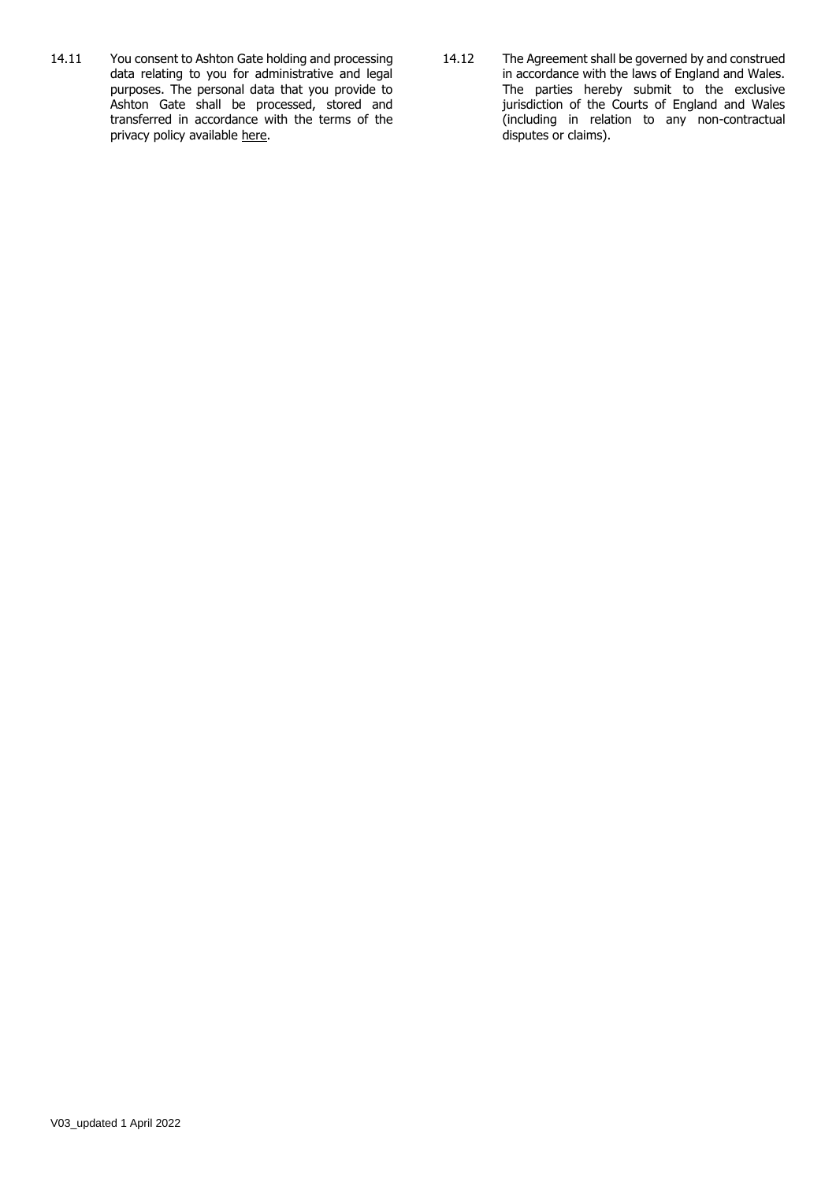- 14.11 You consent to Ashton Gate holding and processing data relating to you for administrative and legal purposes. The personal data that you provide to Ashton Gate shall be processed, stored and transferred in accordance with the terms of the privacy policy available [here.](https://www.bristol-sport.co.uk/privacy/)
- 14.12 The Agreement shall be governed by and construed in accordance with the laws of England and Wales. The parties hereby submit to the exclusive jurisdiction of the Courts of England and Wales (including in relation to any non-contractual disputes or claims).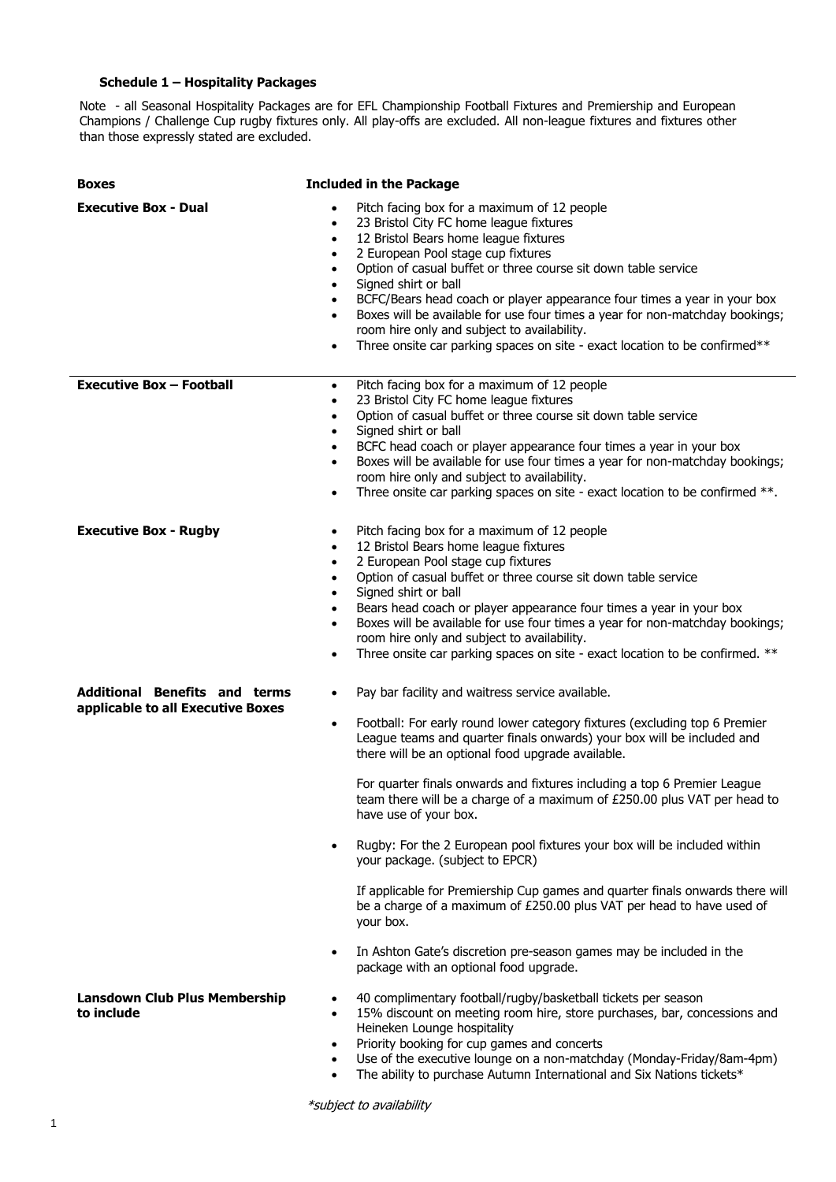# **Schedule 1 – Hospitality Packages**

Note - all Seasonal Hospitality Packages are for EFL Championship Football Fixtures and Premiership and European Champions / Challenge Cup rugby fixtures only. All play-offs are excluded. All non-league fixtures and fixtures other than those expressly stated are excluded.

| <b>Boxes</b>                                                              | <b>Included in the Package</b>                                                                                                                                                                                                                                                                                                                                                                                                                                                                                                                                                                                                                                                                                                                                                                                                                                                                            |
|---------------------------------------------------------------------------|-----------------------------------------------------------------------------------------------------------------------------------------------------------------------------------------------------------------------------------------------------------------------------------------------------------------------------------------------------------------------------------------------------------------------------------------------------------------------------------------------------------------------------------------------------------------------------------------------------------------------------------------------------------------------------------------------------------------------------------------------------------------------------------------------------------------------------------------------------------------------------------------------------------|
| <b>Executive Box - Dual</b>                                               | Pitch facing box for a maximum of 12 people<br>23 Bristol City FC home league fixtures<br>$\bullet$<br>12 Bristol Bears home league fixtures<br>$\bullet$<br>2 European Pool stage cup fixtures<br>$\bullet$<br>Option of casual buffet or three course sit down table service<br>$\bullet$<br>Signed shirt or ball<br>$\bullet$<br>BCFC/Bears head coach or player appearance four times a year in your box<br>$\bullet$<br>Boxes will be available for use four times a year for non-matchday bookings;<br>$\bullet$<br>room hire only and subject to availability.<br>Three onsite car parking spaces on site - exact location to be confirmed**<br>$\bullet$                                                                                                                                                                                                                                          |
| <b>Executive Box - Football</b>                                           | Pitch facing box for a maximum of 12 people<br>$\bullet$<br>23 Bristol City FC home league fixtures<br>$\bullet$<br>Option of casual buffet or three course sit down table service<br>$\bullet$<br>Signed shirt or ball<br>$\bullet$<br>BCFC head coach or player appearance four times a year in your box<br>$\bullet$<br>Boxes will be available for use four times a year for non-matchday bookings;<br>$\bullet$<br>room hire only and subject to availability.<br>Three onsite car parking spaces on site - exact location to be confirmed **.<br>$\bullet$                                                                                                                                                                                                                                                                                                                                          |
| <b>Executive Box - Rugby</b>                                              | Pitch facing box for a maximum of 12 people<br>$\bullet$<br>12 Bristol Bears home league fixtures<br>$\bullet$<br>2 European Pool stage cup fixtures<br>$\bullet$<br>Option of casual buffet or three course sit down table service<br>$\bullet$<br>Signed shirt or ball<br>$\bullet$<br>Bears head coach or player appearance four times a year in your box<br>$\bullet$<br>Boxes will be available for use four times a year for non-matchday bookings;<br>$\bullet$<br>room hire only and subject to availability.<br>Three onsite car parking spaces on site - exact location to be confirmed. **<br>$\bullet$                                                                                                                                                                                                                                                                                        |
| <b>Additional Benefits and terms</b><br>applicable to all Executive Boxes | Pay bar facility and waitress service available.<br>$\bullet$<br>Football: For early round lower category fixtures (excluding top 6 Premier<br>$\bullet$<br>League teams and quarter finals onwards) your box will be included and<br>there will be an optional food upgrade available.<br>For quarter finals onwards and fixtures including a top 6 Premier League<br>team there will be a charge of a maximum of £250.00 plus VAT per head to<br>have use of your box.<br>Rugby: For the 2 European pool fixtures your box will be included within<br>$\bullet$<br>your package. (subject to EPCR)<br>If applicable for Premiership Cup games and quarter finals onwards there will<br>be a charge of a maximum of £250.00 plus VAT per head to have used of<br>your box.<br>In Ashton Gate's discretion pre-season games may be included in the<br>$\bullet$<br>package with an optional food upgrade. |
| <b>Lansdown Club Plus Membership</b><br>to include                        | 40 complimentary football/rugby/basketball tickets per season<br>$\bullet$<br>15% discount on meeting room hire, store purchases, bar, concessions and<br>$\bullet$<br>Heineken Lounge hospitality<br>Priority booking for cup games and concerts<br>$\bullet$<br>Use of the executive lounge on a non-matchday (Monday-Friday/8am-4pm)<br>$\bullet$<br>The ability to purchase Autumn International and Six Nations tickets*<br>$\bullet$                                                                                                                                                                                                                                                                                                                                                                                                                                                                |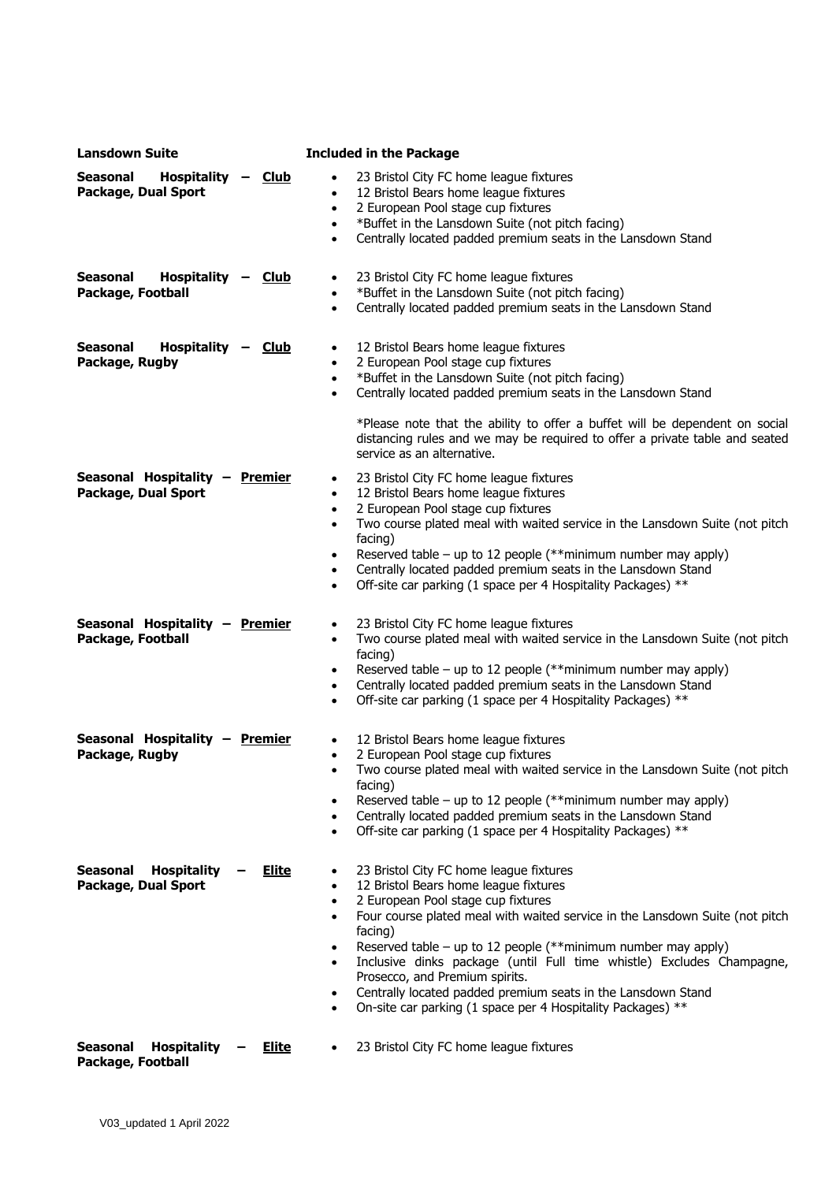| <b>Lansdown Suite</b>                                                        | <b>Included in the Package</b>                                                                                                                                                                                                                                                                                                                                                                                                                                                                                                                                                                                  |
|------------------------------------------------------------------------------|-----------------------------------------------------------------------------------------------------------------------------------------------------------------------------------------------------------------------------------------------------------------------------------------------------------------------------------------------------------------------------------------------------------------------------------------------------------------------------------------------------------------------------------------------------------------------------------------------------------------|
| <b>Seasonal</b><br>Hospitality -<br><u>Club</u><br>Package, Dual Sport       | 23 Bristol City FC home league fixtures<br>12 Bristol Bears home league fixtures<br>$\bullet$<br>2 European Pool stage cup fixtures<br>$\bullet$<br>*Buffet in the Lansdown Suite (not pitch facing)<br>$\bullet$<br>Centrally located padded premium seats in the Lansdown Stand<br>$\bullet$                                                                                                                                                                                                                                                                                                                  |
| Hospitality -<br>Seasonal<br><b>Club</b><br>Package, Football                | 23 Bristol City FC home league fixtures<br>*Buffet in the Lansdown Suite (not pitch facing)<br>$\bullet$<br>Centrally located padded premium seats in the Lansdown Stand<br>$\bullet$                                                                                                                                                                                                                                                                                                                                                                                                                           |
| <b>Seasonal</b><br>Hospitality -<br><u>Club</u><br>Package, Rugby            | 12 Bristol Bears home league fixtures<br>$\bullet$<br>2 European Pool stage cup fixtures<br>$\bullet$<br>*Buffet in the Lansdown Suite (not pitch facing)<br>$\bullet$<br>Centrally located padded premium seats in the Lansdown Stand<br>$\bullet$<br>*Please note that the ability to offer a buffet will be dependent on social<br>distancing rules and we may be required to offer a private table and seated<br>service as an alternative.                                                                                                                                                                 |
| Seasonal Hospitality - Premier<br>Package, Dual Sport                        | 23 Bristol City FC home league fixtures<br>$\bullet$<br>12 Bristol Bears home league fixtures<br>$\bullet$<br>2 European Pool stage cup fixtures<br>$\bullet$<br>Two course plated meal with waited service in the Lansdown Suite (not pitch<br>$\bullet$<br>facing)<br>Reserved table – up to 12 people (**minimum number may apply)<br>$\bullet$<br>Centrally located padded premium seats in the Lansdown Stand<br>$\bullet$<br>Off-site car parking (1 space per 4 Hospitality Packages) **<br>$\bullet$                                                                                                    |
| Seasonal Hospitality - Premier<br>Package, Football                          | 23 Bristol City FC home league fixtures<br>$\bullet$<br>Two course plated meal with waited service in the Lansdown Suite (not pitch<br>$\bullet$<br>facing)<br>Reserved table – up to 12 people (**minimum number may apply)<br>$\bullet$<br>Centrally located padded premium seats in the Lansdown Stand<br>$\bullet$<br>Off-site car parking (1 space per 4 Hospitality Packages) **<br>$\bullet$                                                                                                                                                                                                             |
| Seasonal Hospitality - Premier<br>Package, Rugby                             | 12 Bristol Bears home league fixtures<br>2 European Pool stage cup fixtures<br>$\bullet$<br>Two course plated meal with waited service in the Lansdown Suite (not pitch<br>facing)<br>Reserved table – up to 12 people (**minimum number may apply)<br>$\bullet$<br>Centrally located padded premium seats in the Lansdown Stand<br>$\bullet$<br>Off-site car parking (1 space per 4 Hospitality Packages) **<br>$\bullet$                                                                                                                                                                                      |
| <b>Hospitality</b><br><b>Seasonal</b><br><u>Elite</u><br>Package, Dual Sport | 23 Bristol City FC home league fixtures<br>$\bullet$<br>12 Bristol Bears home league fixtures<br>$\bullet$<br>2 European Pool stage cup fixtures<br>$\bullet$<br>Four course plated meal with waited service in the Lansdown Suite (not pitch<br>$\bullet$<br>facing)<br>Reserved table – up to 12 people (**minimum number may apply)<br>$\bullet$<br>Inclusive dinks package (until Full time whistle) Excludes Champagne,<br>$\bullet$<br>Prosecco, and Premium spirits.<br>Centrally located padded premium seats in the Lansdown Stand<br>٠<br>On-site car parking (1 space per 4 Hospitality Packages) ** |
| Seasonal<br><b>Hospitality</b><br><u>Elite</u><br>Package, Football          | 23 Bristol City FC home league fixtures                                                                                                                                                                                                                                                                                                                                                                                                                                                                                                                                                                         |